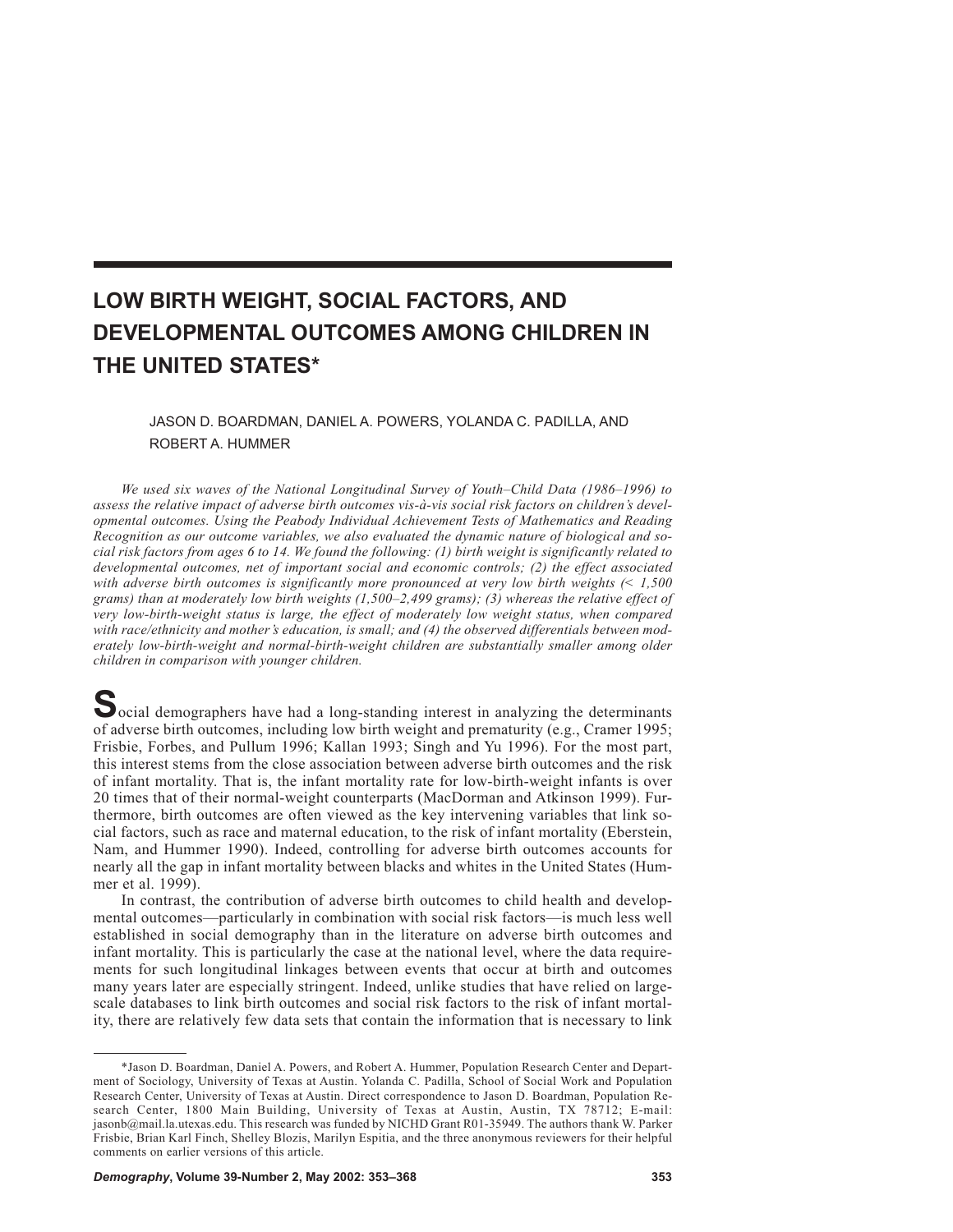# **LOW BIRTH WEIGHT, SOCIAL FACTORS, AND DEVELOPMENTAL OUTCOMES AMONG CHILDREN IN THE UNITED STATES\***

# JASON D. BOARDMAN, DANIEL A. POWERS, YOLANDA C. PADILLA, AND ROBERT A. HUMMER

*We used six waves of the National Longitudinal Survey of Youth–Child Data (1986–1996) to assess the relative impact of adverse birth outcomes vis-à-vis social risk factors on children's developmental outcomes. Using the Peabody Individual Achievement Tests of Mathematics and Reading Recognition as our outcome variables, we also evaluated the dynamic nature of biological and social risk factors from ages 6 to 14. We found the following: (1) birth weight is significantly related to developmental outcomes, net of important social and economic controls; (2) the effect associated with adverse birth outcomes is significantly more pronounced at very low birth weights (< 1,500 grams) than at moderately low birth weights (1,500–2,499 grams); (3) whereas the relative effect of very low-birth-weight status is large, the effect of moderately low weight status, when compared with race/ethnicity and mother's education, is small; and (4) the observed differentials between moderately low-birth-weight and normal-birth-weight children are substantially smaller among older children in comparison with younger children.*

Social demographers have had a long-standing interest in analyzing the determinants of adverse birth outcomes, including low birth weight and prematurity (e.g., Cramer 1995; Frisbie, Forbes, and Pullum 1996; Kallan 1993; Singh and Yu 1996). For the most part, this interest stems from the close association between adverse birth outcomes and the risk of infant mortality. That is, the infant mortality rate for low-birth-weight infants is over 20 times that of their normal-weight counterparts (MacDorman and Atkinson 1999). Furthermore, birth outcomes are often viewed as the key intervening variables that link social factors, such as race and maternal education, to the risk of infant mortality (Eberstein, Nam, and Hummer 1990). Indeed, controlling for adverse birth outcomes accounts for nearly all the gap in infant mortality between blacks and whites in the United States (Hummer et al. 1999).

In contrast, the contribution of adverse birth outcomes to child health and developmental outcomes—particularly in combination with social risk factors—is much less well established in social demography than in the literature on adverse birth outcomes and infant mortality. This is particularly the case at the national level, where the data requirements for such longitudinal linkages between events that occur at birth and outcomes many years later are especially stringent. Indeed, unlike studies that have relied on largescale databases to link birth outcomes and social risk factors to the risk of infant mortality, there are relatively few data sets that contain the information that is necessary to link

<sup>\*</sup>Jason D. Boardman, Daniel A. Powers, and Robert A. Hummer, Population Research Center and Department of Sociology, University of Texas at Austin. Yolanda C. Padilla, School of Social Work and Population Research Center, University of Texas at Austin. Direct correspondence to Jason D. Boardman, Population Research Center, 1800 Main Building, University of Texas at Austin, Austin, TX 78712; E-mail: jasonb@mail.la.utexas.edu. This research was funded by NICHD Grant R01-35949. The authors thank W. Parker Frisbie, Brian Karl Finch, Shelley Blozis, Marilyn Espitia, and the three anonymous reviewers for their helpful comments on earlier versions of this article.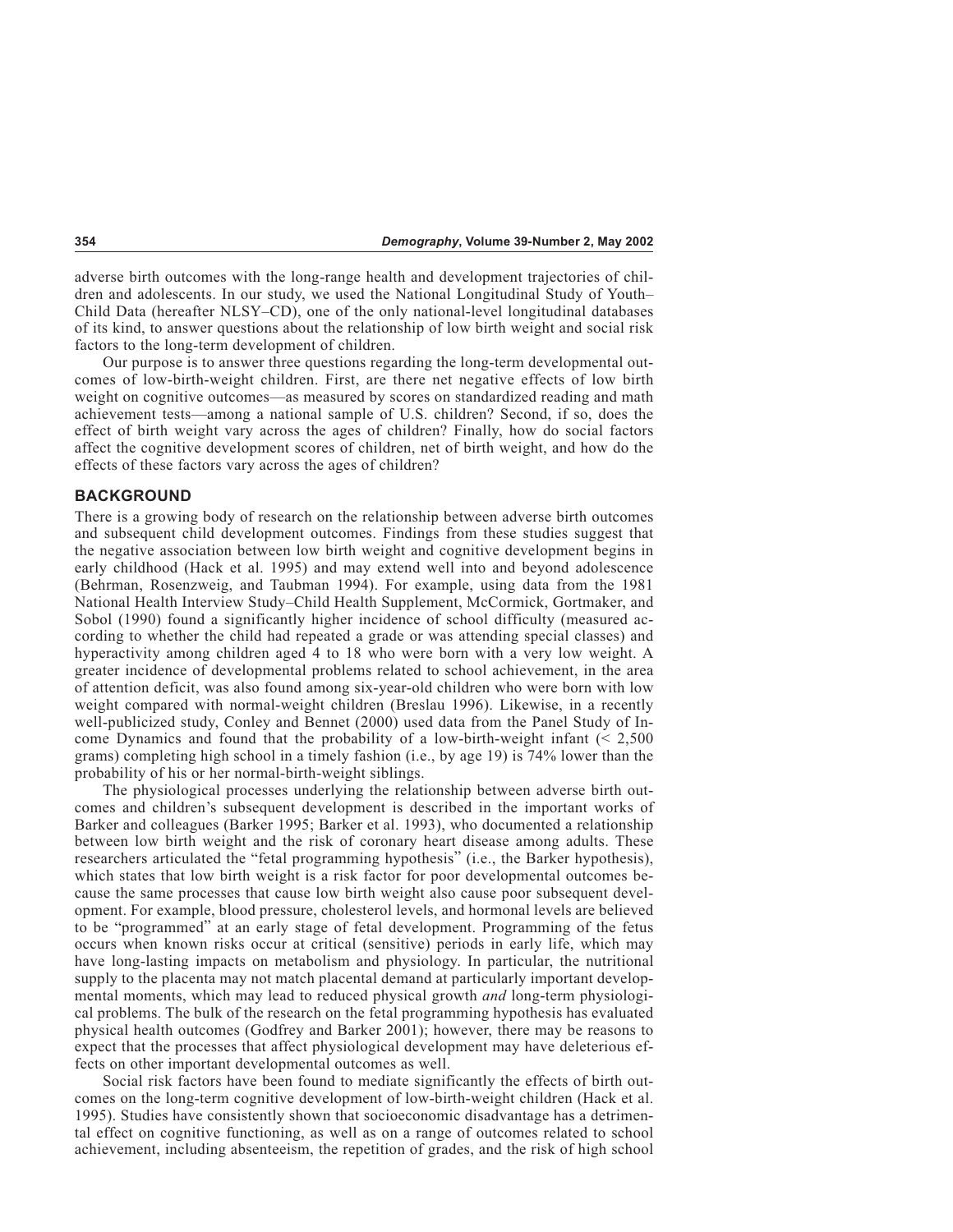adverse birth outcomes with the long-range health and development trajectories of children and adolescents. In our study, we used the National Longitudinal Study of Youth– Child Data (hereafter NLSY–CD), one of the only national-level longitudinal databases of its kind, to answer questions about the relationship of low birth weight and social risk factors to the long-term development of children.

Our purpose is to answer three questions regarding the long-term developmental outcomes of low-birth-weight children. First, are there net negative effects of low birth weight on cognitive outcomes—as measured by scores on standardized reading and math achievement tests—among a national sample of U.S. children? Second, if so, does the effect of birth weight vary across the ages of children? Finally, how do social factors affect the cognitive development scores of children, net of birth weight, and how do the effects of these factors vary across the ages of children?

# **BACKGROUND**

There is a growing body of research on the relationship between adverse birth outcomes and subsequent child development outcomes. Findings from these studies suggest that the negative association between low birth weight and cognitive development begins in early childhood (Hack et al. 1995) and may extend well into and beyond adolescence (Behrman, Rosenzweig, and Taubman 1994). For example, using data from the 1981 National Health Interview Study–Child Health Supplement, McCormick, Gortmaker, and Sobol (1990) found a significantly higher incidence of school difficulty (measured according to whether the child had repeated a grade or was attending special classes) and hyperactivity among children aged 4 to 18 who were born with a very low weight. A greater incidence of developmental problems related to school achievement, in the area of attention deficit, was also found among six-year-old children who were born with low weight compared with normal-weight children (Breslau 1996). Likewise, in a recently well-publicized study, Conley and Bennet (2000) used data from the Panel Study of Income Dynamics and found that the probability of a low-birth-weight infant  $($ grams) completing high school in a timely fashion (i.e., by age 19) is 74% lower than the probability of his or her normal-birth-weight siblings.

The physiological processes underlying the relationship between adverse birth outcomes and children's subsequent development is described in the important works of Barker and colleagues (Barker 1995; Barker et al. 1993), who documented a relationship between low birth weight and the risk of coronary heart disease among adults. These researchers articulated the "fetal programming hypothesis" (i.e., the Barker hypothesis), which states that low birth weight is a risk factor for poor developmental outcomes because the same processes that cause low birth weight also cause poor subsequent development. For example, blood pressure, cholesterol levels, and hormonal levels are believed to be "programmed" at an early stage of fetal development. Programming of the fetus occurs when known risks occur at critical (sensitive) periods in early life, which may have long-lasting impacts on metabolism and physiology. In particular, the nutritional supply to the placenta may not match placental demand at particularly important developmental moments, which may lead to reduced physical growth *and* long-term physiological problems. The bulk of the research on the fetal programming hypothesis has evaluated physical health outcomes (Godfrey and Barker 2001); however, there may be reasons to expect that the processes that affect physiological development may have deleterious effects on other important developmental outcomes as well.

Social risk factors have been found to mediate significantly the effects of birth outcomes on the long-term cognitive development of low-birth-weight children (Hack et al. 1995). Studies have consistently shown that socioeconomic disadvantage has a detrimental effect on cognitive functioning, as well as on a range of outcomes related to school achievement, including absenteeism, the repetition of grades, and the risk of high school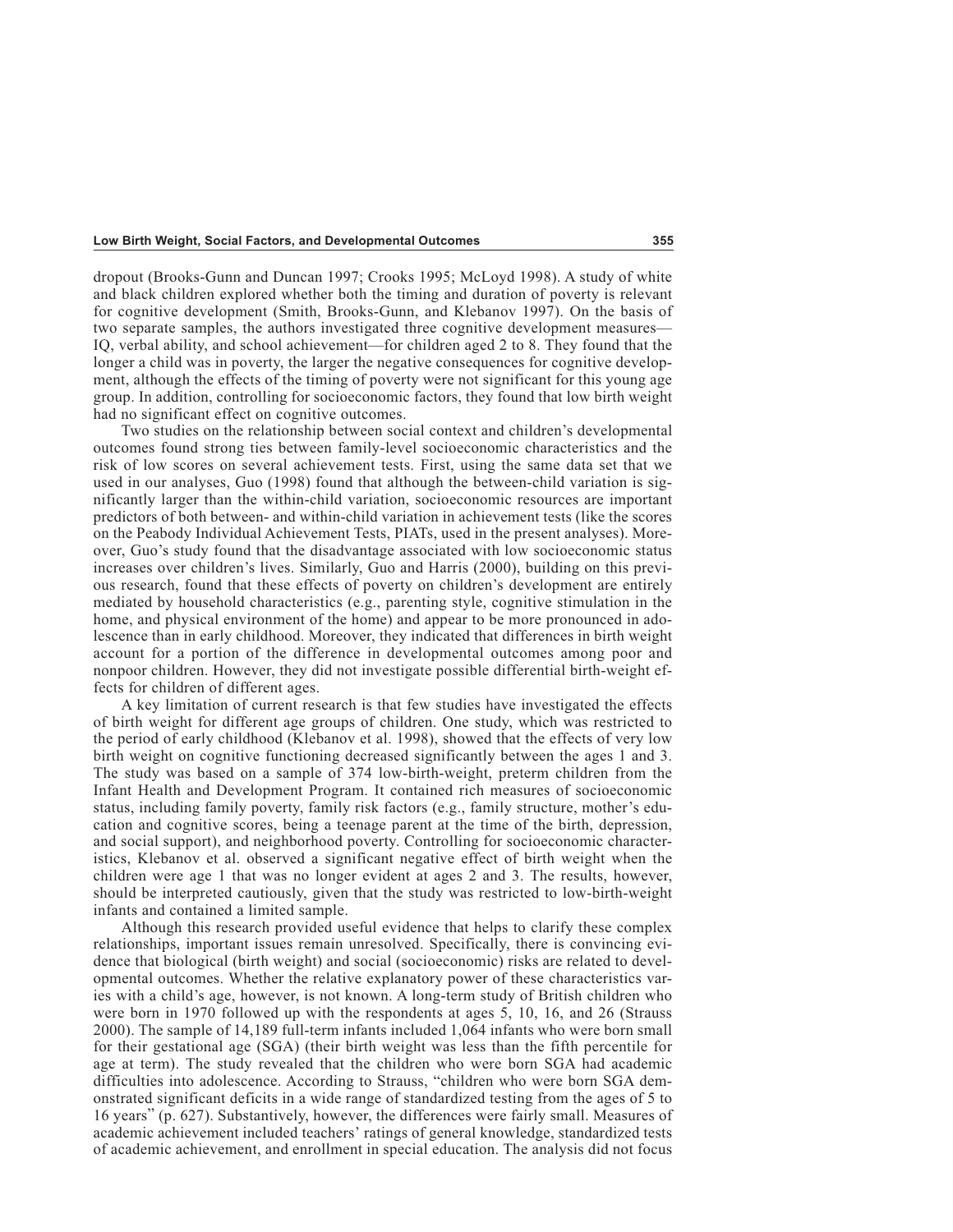dropout (Brooks-Gunn and Duncan 1997; Crooks 1995; McLoyd 1998). A study of white and black children explored whether both the timing and duration of poverty is relevant for cognitive development (Smith, Brooks-Gunn, and Klebanov 1997). On the basis of two separate samples, the authors investigated three cognitive development measures— IQ, verbal ability, and school achievement—for children aged 2 to 8. They found that the longer a child was in poverty, the larger the negative consequences for cognitive development, although the effects of the timing of poverty were not significant for this young age group. In addition, controlling for socioeconomic factors, they found that low birth weight had no significant effect on cognitive outcomes.

Two studies on the relationship between social context and children's developmental outcomes found strong ties between family-level socioeconomic characteristics and the risk of low scores on several achievement tests. First, using the same data set that we used in our analyses, Guo (1998) found that although the between-child variation is significantly larger than the within-child variation, socioeconomic resources are important predictors of both between- and within-child variation in achievement tests (like the scores on the Peabody Individual Achievement Tests, PIATs, used in the present analyses). Moreover, Guo's study found that the disadvantage associated with low socioeconomic status increases over children's lives. Similarly, Guo and Harris (2000), building on this previous research, found that these effects of poverty on children's development are entirely mediated by household characteristics (e.g., parenting style, cognitive stimulation in the home, and physical environment of the home) and appear to be more pronounced in adolescence than in early childhood. Moreover, they indicated that differences in birth weight account for a portion of the difference in developmental outcomes among poor and nonpoor children. However, they did not investigate possible differential birth-weight effects for children of different ages.

A key limitation of current research is that few studies have investigated the effects of birth weight for different age groups of children. One study, which was restricted to the period of early childhood (Klebanov et al. 1998), showed that the effects of very low birth weight on cognitive functioning decreased significantly between the ages 1 and 3. The study was based on a sample of 374 low-birth-weight, preterm children from the Infant Health and Development Program. It contained rich measures of socioeconomic status, including family poverty, family risk factors (e.g., family structure, mother's education and cognitive scores, being a teenage parent at the time of the birth, depression, and social support), and neighborhood poverty. Controlling for socioeconomic characteristics, Klebanov et al. observed a significant negative effect of birth weight when the children were age 1 that was no longer evident at ages 2 and 3. The results, however, should be interpreted cautiously, given that the study was restricted to low-birth-weight infants and contained a limited sample.

Although this research provided useful evidence that helps to clarify these complex relationships, important issues remain unresolved. Specifically, there is convincing evidence that biological (birth weight) and social (socioeconomic) risks are related to developmental outcomes. Whether the relative explanatory power of these characteristics varies with a child's age, however, is not known. A long-term study of British children who were born in 1970 followed up with the respondents at ages 5, 10, 16, and 26 (Strauss 2000). The sample of 14,189 full-term infants included 1,064 infants who were born small for their gestational age (SGA) (their birth weight was less than the fifth percentile for age at term). The study revealed that the children who were born SGA had academic difficulties into adolescence. According to Strauss, "children who were born SGA demonstrated significant deficits in a wide range of standardized testing from the ages of 5 to 16 years" (p. 627). Substantively, however, the differences were fairly small. Measures of academic achievement included teachers' ratings of general knowledge, standardized tests of academic achievement, and enrollment in special education. The analysis did not focus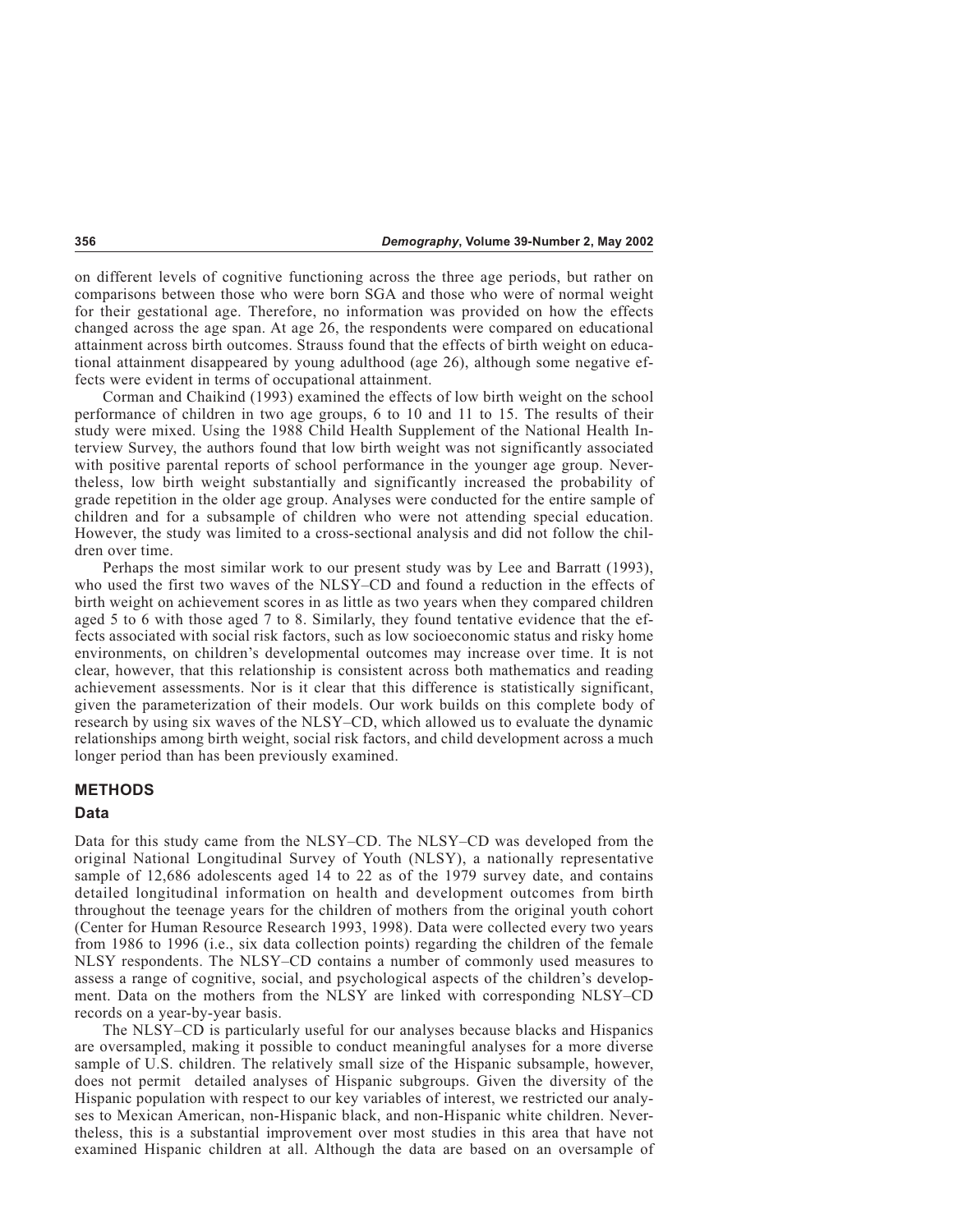on different levels of cognitive functioning across the three age periods, but rather on comparisons between those who were born SGA and those who were of normal weight for their gestational age. Therefore, no information was provided on how the effects changed across the age span. At age 26, the respondents were compared on educational attainment across birth outcomes. Strauss found that the effects of birth weight on educational attainment disappeared by young adulthood (age 26), although some negative effects were evident in terms of occupational attainment.

Corman and Chaikind (1993) examined the effects of low birth weight on the school performance of children in two age groups, 6 to 10 and 11 to 15. The results of their study were mixed. Using the 1988 Child Health Supplement of the National Health Interview Survey, the authors found that low birth weight was not significantly associated with positive parental reports of school performance in the younger age group. Nevertheless, low birth weight substantially and significantly increased the probability of grade repetition in the older age group. Analyses were conducted for the entire sample of children and for a subsample of children who were not attending special education. However, the study was limited to a cross-sectional analysis and did not follow the children over time.

Perhaps the most similar work to our present study was by Lee and Barratt (1993), who used the first two waves of the NLSY–CD and found a reduction in the effects of birth weight on achievement scores in as little as two years when they compared children aged 5 to 6 with those aged 7 to 8. Similarly, they found tentative evidence that the effects associated with social risk factors, such as low socioeconomic status and risky home environments, on children's developmental outcomes may increase over time. It is not clear, however, that this relationship is consistent across both mathematics and reading achievement assessments. Nor is it clear that this difference is statistically significant, given the parameterization of their models. Our work builds on this complete body of research by using six waves of the NLSY–CD, which allowed us to evaluate the dynamic relationships among birth weight, social risk factors, and child development across a much longer period than has been previously examined.

# **METHODS**

# **Data**

Data for this study came from the NLSY–CD. The NLSY–CD was developed from the original National Longitudinal Survey of Youth (NLSY), a nationally representative sample of 12,686 adolescents aged 14 to 22 as of the 1979 survey date, and contains detailed longitudinal information on health and development outcomes from birth throughout the teenage years for the children of mothers from the original youth cohort (Center for Human Resource Research 1993, 1998). Data were collected every two years from 1986 to 1996 (i.e., six data collection points) regarding the children of the female NLSY respondents. The NLSY–CD contains a number of commonly used measures to assess a range of cognitive, social, and psychological aspects of the children's development. Data on the mothers from the NLSY are linked with corresponding NLSY–CD records on a year-by-year basis.

The NLSY–CD is particularly useful for our analyses because blacks and Hispanics are oversampled, making it possible to conduct meaningful analyses for a more diverse sample of U.S. children. The relatively small size of the Hispanic subsample, however, does not permit detailed analyses of Hispanic subgroups. Given the diversity of the Hispanic population with respect to our key variables of interest, we restricted our analyses to Mexican American, non-Hispanic black, and non-Hispanic white children. Nevertheless, this is a substantial improvement over most studies in this area that have not examined Hispanic children at all. Although the data are based on an oversample of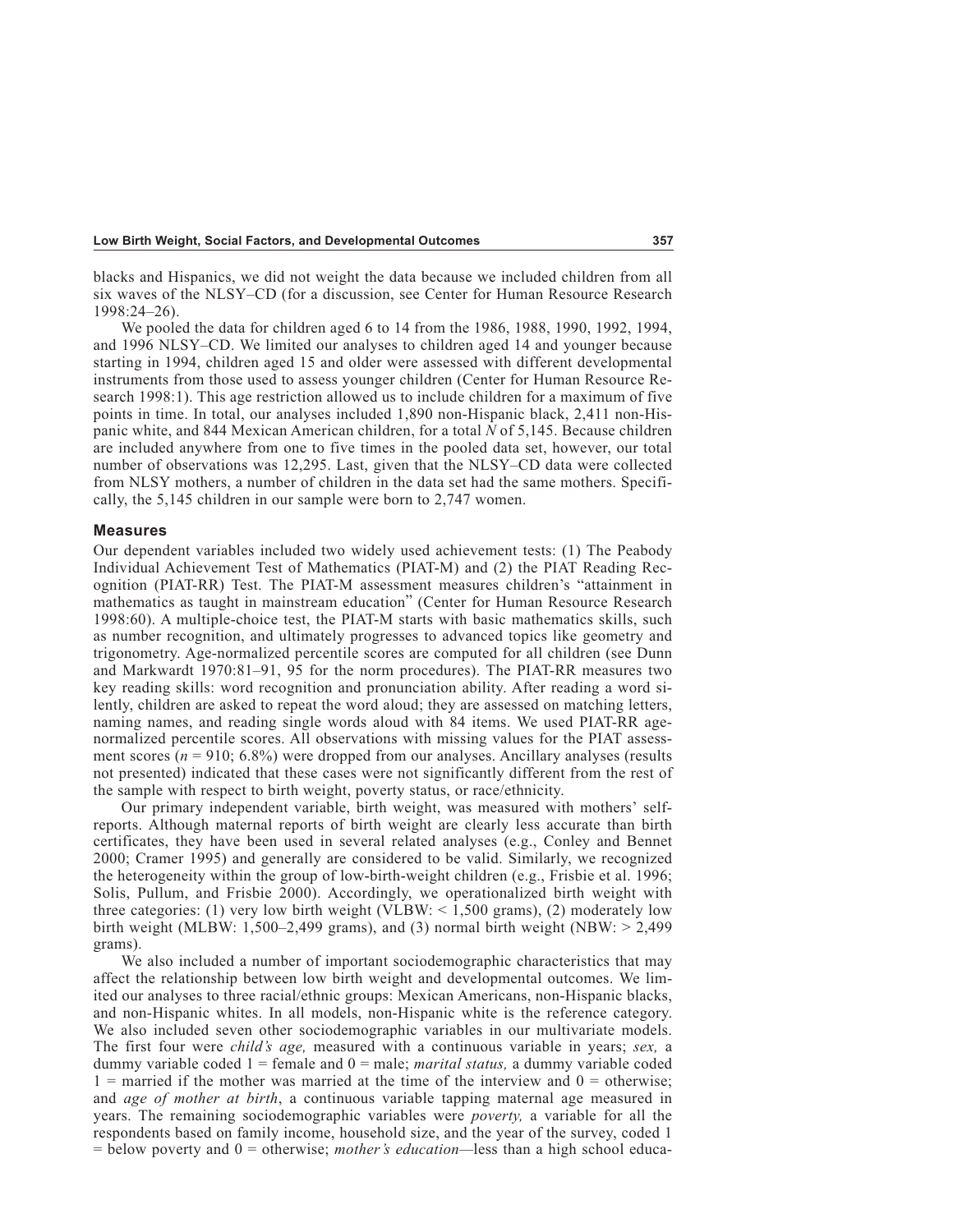blacks and Hispanics, we did not weight the data because we included children from all six waves of the NLSY–CD (for a discussion, see Center for Human Resource Research 1998:24–26).

We pooled the data for children aged 6 to 14 from the 1986, 1988, 1990, 1992, 1994, and 1996 NLSY–CD. We limited our analyses to children aged 14 and younger because starting in 1994, children aged 15 and older were assessed with different developmental instruments from those used to assess younger children (Center for Human Resource Research 1998:1). This age restriction allowed us to include children for a maximum of five points in time. In total, our analyses included 1,890 non-Hispanic black, 2,411 non-Hispanic white, and 844 Mexican American children, for a total *N* of 5,145. Because children are included anywhere from one to five times in the pooled data set, however, our total number of observations was 12,295. Last, given that the NLSY–CD data were collected from NLSY mothers, a number of children in the data set had the same mothers. Specifically, the 5,145 children in our sample were born to 2,747 women.

# **Measures**

Our dependent variables included two widely used achievement tests: (1) The Peabody Individual Achievement Test of Mathematics (PIAT-M) and (2) the PIAT Reading Recognition (PIAT-RR) Test. The PIAT-M assessment measures children's "attainment in mathematics as taught in mainstream education" (Center for Human Resource Research 1998:60). A multiple-choice test, the PIAT-M starts with basic mathematics skills, such as number recognition, and ultimately progresses to advanced topics like geometry and trigonometry. Age-normalized percentile scores are computed for all children (see Dunn and Markwardt 1970:81–91, 95 for the norm procedures). The PIAT-RR measures two key reading skills: word recognition and pronunciation ability. After reading a word silently, children are asked to repeat the word aloud; they are assessed on matching letters, naming names, and reading single words aloud with 84 items. We used PIAT-RR agenormalized percentile scores. All observations with missing values for the PIAT assessment scores ( $n = 910$ ; 6.8%) were dropped from our analyses. Ancillary analyses (results not presented) indicated that these cases were not significantly different from the rest of the sample with respect to birth weight, poverty status, or race/ethnicity.

Our primary independent variable, birth weight, was measured with mothers' selfreports. Although maternal reports of birth weight are clearly less accurate than birth certificates, they have been used in several related analyses (e.g., Conley and Bennet 2000; Cramer 1995) and generally are considered to be valid. Similarly, we recognized the heterogeneity within the group of low-birth-weight children (e.g., Frisbie et al. 1996; Solis, Pullum, and Frisbie 2000). Accordingly, we operationalized birth weight with three categories: (1) very low birth weight (VLBW:  $\leq$  1,500 grams), (2) moderately low birth weight (MLBW:  $1,500-2,499$  grams), and (3) normal birth weight (NBW:  $> 2,499$ grams).

We also included a number of important sociodemographic characteristics that may affect the relationship between low birth weight and developmental outcomes. We limited our analyses to three racial/ethnic groups: Mexican Americans, non-Hispanic blacks, and non-Hispanic whites. In all models, non-Hispanic white is the reference category. We also included seven other sociodemographic variables in our multivariate models. The first four were *child's age,* measured with a continuous variable in years; *sex,* a dummy variable coded 1 = female and 0 = male; *marital status,* a dummy variable coded  $1 =$  married if the mother was married at the time of the interview and  $0 =$  otherwise; and *age of mother at birth*, a continuous variable tapping maternal age measured in years. The remaining sociodemographic variables were *poverty,* a variable for all the respondents based on family income, household size, and the year of the survey, coded 1 = below poverty and 0 = otherwise; *mother's education—*less than a high school educa-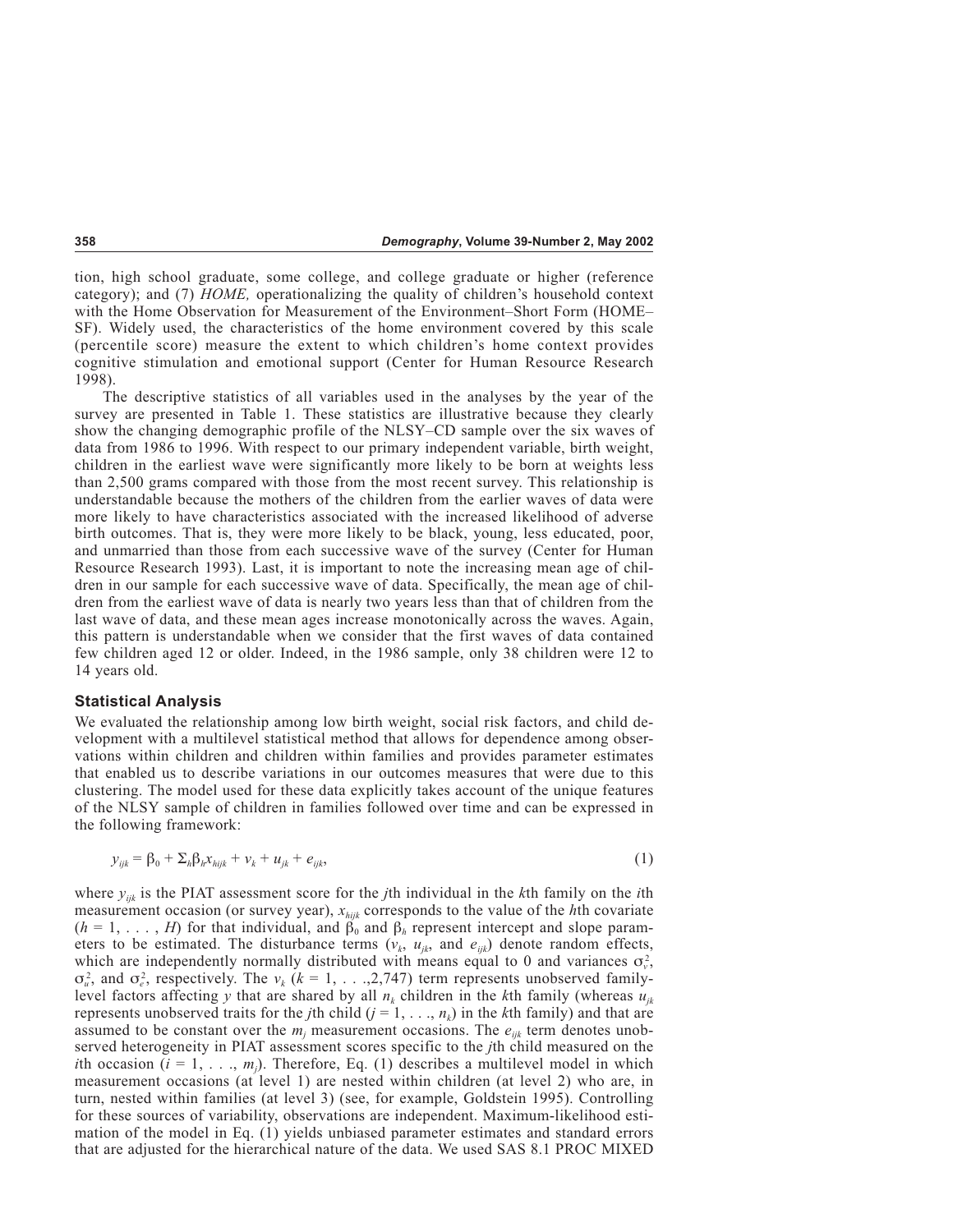tion, high school graduate, some college, and college graduate or higher (reference category); and (7) *HOME,* operationalizing the quality of children's household context with the Home Observation for Measurement of the Environment–Short Form (HOME– SF). Widely used, the characteristics of the home environment covered by this scale (percentile score) measure the extent to which children's home context provides cognitive stimulation and emotional support (Center for Human Resource Research 1998).

The descriptive statistics of all variables used in the analyses by the year of the survey are presented in Table 1. These statistics are illustrative because they clearly show the changing demographic profile of the NLSY–CD sample over the six waves of data from 1986 to 1996. With respect to our primary independent variable, birth weight, children in the earliest wave were significantly more likely to be born at weights less than 2,500 grams compared with those from the most recent survey. This relationship is understandable because the mothers of the children from the earlier waves of data were more likely to have characteristics associated with the increased likelihood of adverse birth outcomes. That is, they were more likely to be black, young, less educated, poor, and unmarried than those from each successive wave of the survey (Center for Human Resource Research 1993). Last, it is important to note the increasing mean age of children in our sample for each successive wave of data. Specifically, the mean age of children from the earliest wave of data is nearly two years less than that of children from the last wave of data, and these mean ages increase monotonically across the waves. Again, this pattern is understandable when we consider that the first waves of data contained few children aged 12 or older. Indeed, in the 1986 sample, only 38 children were 12 to 14 years old.

# **Statistical Analysis**

We evaluated the relationship among low birth weight, social risk factors, and child development with a multilevel statistical method that allows for dependence among observations within children and children within families and provides parameter estimates that enabled us to describe variations in our outcomes measures that were due to this clustering. The model used for these data explicitly takes account of the unique features of the NLSY sample of children in families followed over time and can be expressed in the following framework:

$$
y_{ijk} = \beta_0 + \sum_h \beta_h x_{hijk} + v_k + u_{jk} + e_{ijk},
$$
\n(1)

where  $y_{ijk}$  is the PIAT assessment score for the *j*th individual in the *k*th family on the *i*th measurement occasion (or survey year), *xhijk* corresponds to the value of the *h*th covariate  $(h = 1, \ldots, H)$  for that individual, and  $\beta_0$  and  $\beta_h$  represent intercept and slope parameters to be estimated. The disturbance terms  $(v_k, u_{jk})$  and  $e_{ijk}$  denote random effects, which are independently normally distributed with means equal to 0 and variances  $\sigma_v^2$ ,  $\sigma_u^2$ , and  $\sigma_e^2$ , respectively. The  $v_k$  ( $k = 1, \ldots, 2,747$ ) term represents unobserved familylevel factors affecting *y* that are shared by all  $n_k$  children in the *k*th family (whereas  $u_{ik}$ represents unobserved traits for the *j*th child  $(j = 1, \ldots, n_k)$  in the *k*th family) and that are assumed to be constant over the  $m_i$  measurement occasions. The  $e_{ijk}$  term denotes unobserved heterogeneity in PIAT assessment scores specific to the *j*th child measured on the *i*th occasion  $(i = 1, \ldots, m_j)$ . Therefore, Eq. (1) describes a multilevel model in which measurement occasions (at level 1) are nested within children (at level 2) who are, in turn, nested within families (at level 3) (see, for example, Goldstein 1995). Controlling for these sources of variability, observations are independent. Maximum-likelihood estimation of the model in Eq. (1) yields unbiased parameter estimates and standard errors that are adjusted for the hierarchical nature of the data. We used SAS 8.1 PROC MIXED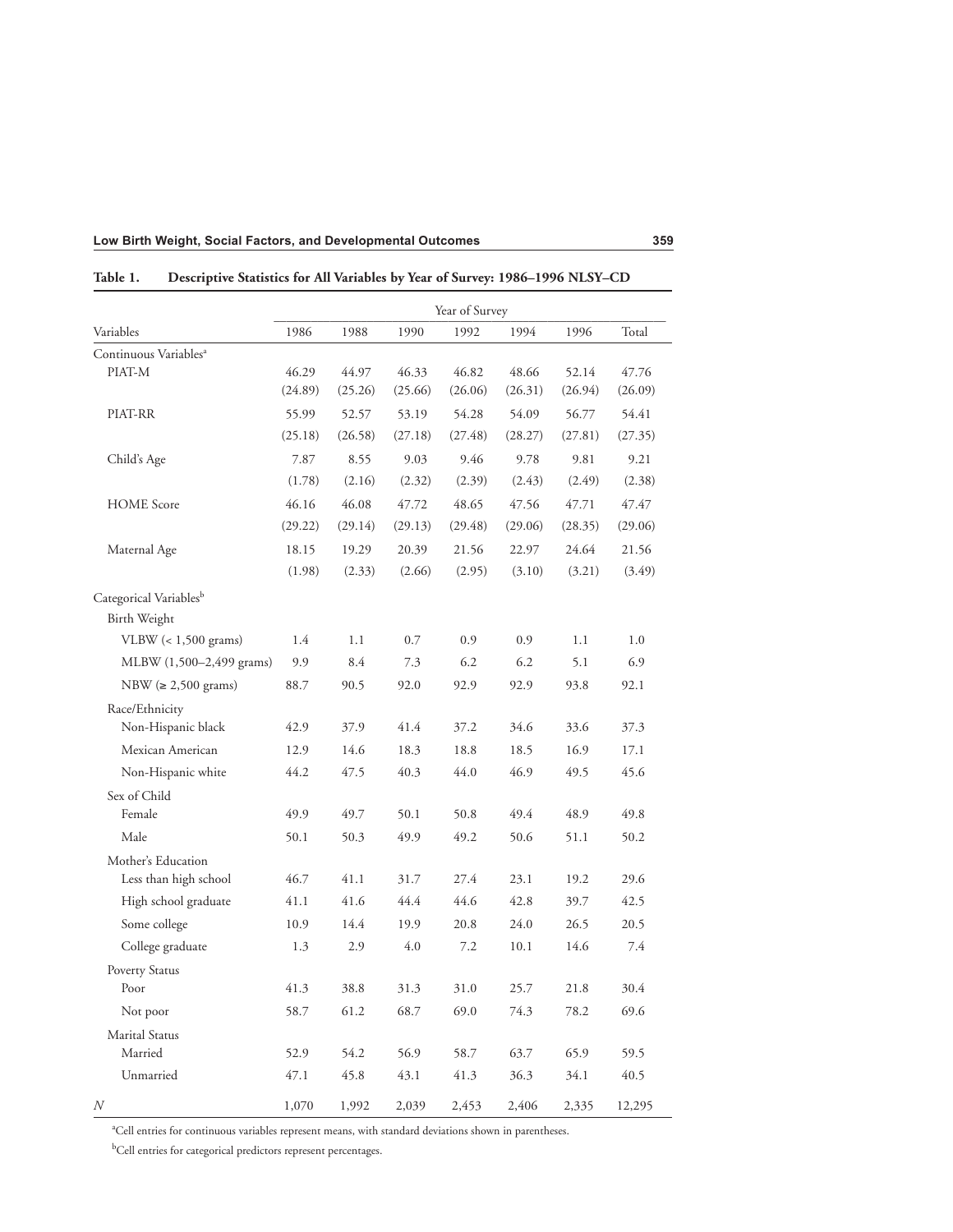| Low Birth Weight, Social Factors, and Developmental Outcomes | 359 |
|--------------------------------------------------------------|-----|
|--------------------------------------------------------------|-----|

|                                    | Year of Survey   |                  |                  |                  |                  |                  |                  |
|------------------------------------|------------------|------------------|------------------|------------------|------------------|------------------|------------------|
| Variables                          | 1986             | 1988             | 1990             | 1992             | 1994             | 1996             | Total            |
| Continuous Variables <sup>a</sup>  |                  |                  |                  |                  |                  |                  |                  |
| PIAT-M                             | 46.29<br>(24.89) | 44.97<br>(25.26) | 46.33<br>(25.66) | 46.82<br>(26.06) | 48.66<br>(26.31) | 52.14<br>(26.94) | 47.76<br>(26.09) |
| PIAT-RR                            | 55.99            | 52.57            | 53.19            | 54.28            | 54.09            | 56.77            | 54.41            |
|                                    | (25.18)          | (26.58)          | (27.18)          | (27.48)          | (28.27)          | (27.81)          | (27.35)          |
| Child's Age                        | 7.87             | 8.55             | 9.03             | 9.46             | 9.78             | 9.81             | 9.21             |
|                                    | (1.78)           | (2.16)           | (2.32)           | (2.39)           | (2.43)           | (2.49)           | (2.38)           |
| <b>HOME</b> Score                  | 46.16            | 46.08            | 47.72            | 48.65            | 47.56            | 47.71            | 47.47            |
|                                    | (29.22)          | (29.14)          | (29.13)          | (29.48)          | (29.06)          | (28.35)          | (29.06)          |
| Maternal Age                       | 18.15            | 19.29            | 20.39            | 21.56            | 22.97            | 24.64            | 21.56            |
|                                    | (1.98)           | (2.33)           | (2.66)           | (2.95)           | (3.10)           | (3.21)           | (3.49)           |
| Categorical Variables <sup>b</sup> |                  |                  |                  |                  |                  |                  |                  |
| Birth Weight                       |                  |                  |                  |                  |                  |                  |                  |
| VLBW (< 1,500 grams)               | 1.4              | 1.1              | 0.7              | 0.9              | 0.9              | 1.1              | 1.0              |
| MLBW (1,500-2,499 grams)           | 9.9              | 8.4              | 7.3              | 6.2              | 6.2              | 5.1              | 6.9              |
| NBW ( $\geq 2,500$ grams)          | 88.7             | 90.5             | 92.0             | 92.9             | 92.9             | 93.8             | 92.1             |
| Race/Ethnicity                     |                  |                  |                  |                  |                  |                  |                  |
| Non-Hispanic black                 | 42.9             | 37.9             | 41.4             | 37.2             | 34.6             | 33.6             | 37.3             |
| Mexican American                   | 12.9             | 14.6             | 18.3             | 18.8             | 18.5             | 16.9             | 17.1             |
| Non-Hispanic white                 | 44.2             | 47.5             | 40.3             | 44.0             | 46.9             | 49.5             | 45.6             |
| Sex of Child<br>Female             | 49.9             | 49.7             | 50.1             | 50.8             | 49.4             | 48.9             | 49.8             |
| Male                               | 50.1             | 50.3             | 49.9             | 49.2             | 50.6             | 51.1             | 50.2             |
| Mother's Education                 |                  |                  |                  |                  |                  |                  |                  |
| Less than high school              | 46.7             | 41.1             | 31.7             | 27.4             | 23.1             | 19.2             | 29.6             |
| High school graduate               | 41.1             | 41.6             | 44.4             | 44.6             | 42.8             | 39.7             | 42.5             |
| Some college                       | 10.9             | 14.4             | 19.9             | 20.8             | 24.0             | 26.5             | 20.5             |
| College graduate                   | 1.3              | 2.9              | 4.0              | 7.2              | 10.1             | 14.6             | 7.4              |
| Poverty Status                     |                  |                  |                  |                  |                  |                  |                  |
| Poor                               | 41.3             | 38.8             | 31.3             | 31.0             | 25.7             | 21.8             | 30.4             |
| Not poor                           | 58.7             | 61.2             | 68.7             | 69.0             | 74.3             | 78.2             | 69.6             |
| Marital Status                     |                  |                  |                  |                  |                  |                  |                  |
| Married                            | 52.9             | 54.2             | 56.9             | 58.7             | 63.7             | 65.9             | 59.5             |
| Unmarried                          | 47.1             | 45.8             | 43.1             | 41.3             | 36.3             | 34.1             | 40.5             |
| N                                  | 1,070            | 1,992            | 2,039            | 2,453            | 2,406            | 2,335            | 12,295           |

| Table 1. |  |  |  |  | Descriptive Statistics for All Variables by Year of Survey: 1986–1996 NLSY–CD |  |
|----------|--|--|--|--|-------------------------------------------------------------------------------|--|
|----------|--|--|--|--|-------------------------------------------------------------------------------|--|

<sup>a</sup>Cell entries for continuous variables represent means, with standard deviations shown in parentheses.

<sup>b</sup>Cell entries for categorical predictors represent percentages.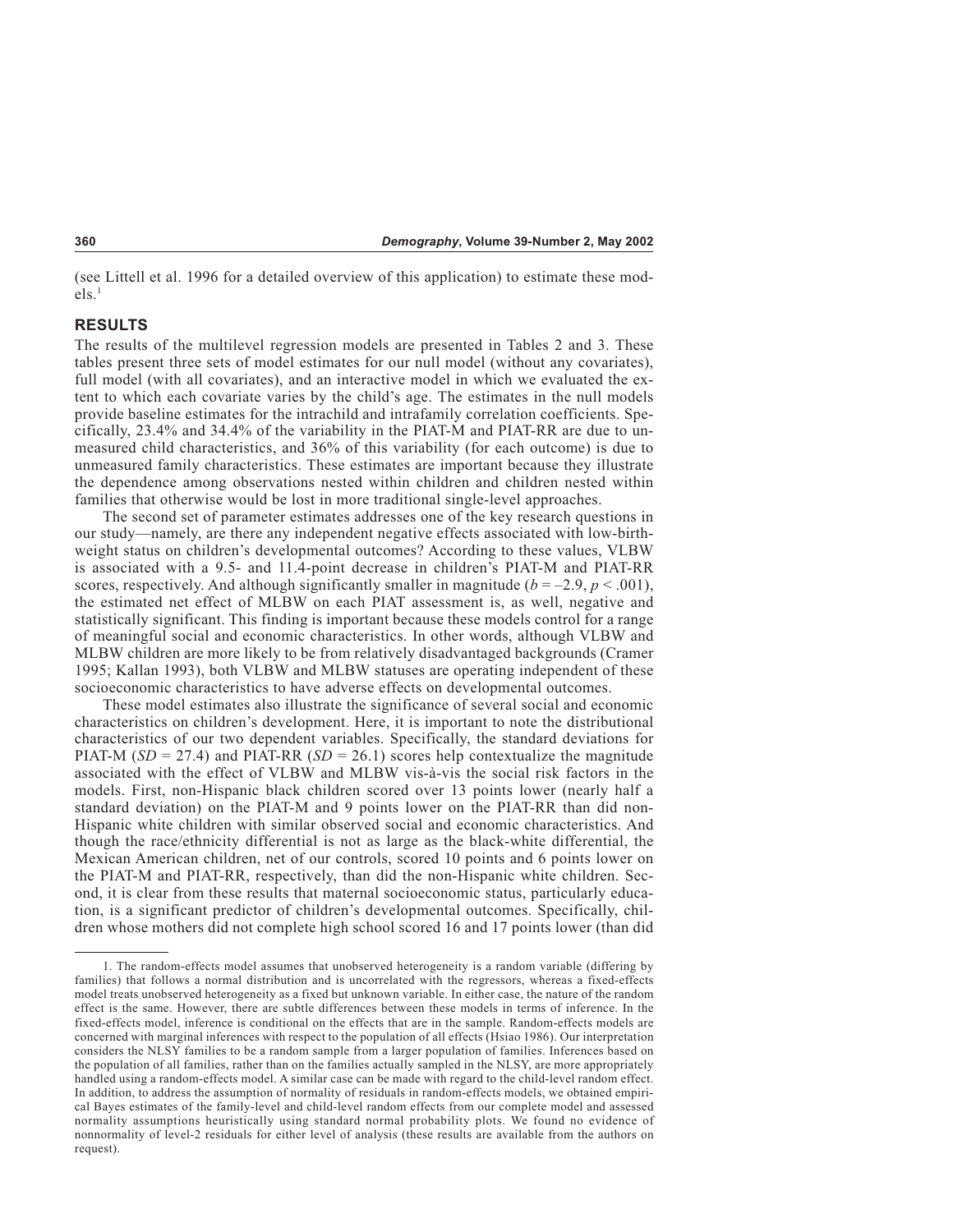(see Littell et al. 1996 for a detailed overview of this application) to estimate these mod $els.1$ 

# **RESULTS**

The results of the multilevel regression models are presented in Tables 2 and 3. These tables present three sets of model estimates for our null model (without any covariates), full model (with all covariates), and an interactive model in which we evaluated the extent to which each covariate varies by the child's age. The estimates in the null models provide baseline estimates for the intrachild and intrafamily correlation coefficients. Specifically, 23.4% and 34.4% of the variability in the PIAT-M and PIAT-RR are due to unmeasured child characteristics, and 36% of this variability (for each outcome) is due to unmeasured family characteristics. These estimates are important because they illustrate the dependence among observations nested within children and children nested within families that otherwise would be lost in more traditional single-level approaches.

The second set of parameter estimates addresses one of the key research questions in our study—namely, are there any independent negative effects associated with low-birthweight status on children's developmental outcomes? According to these values, VLBW is associated with a 9.5- and 11.4-point decrease in children's PIAT-M and PIAT-RR scores, respectively. And although significantly smaller in magnitude  $(b = -2.9, p < .001)$ , the estimated net effect of MLBW on each PIAT assessment is, as well, negative and statistically significant. This finding is important because these models control for a range of meaningful social and economic characteristics. In other words, although VLBW and MLBW children are more likely to be from relatively disadvantaged backgrounds (Cramer 1995; Kallan 1993), both VLBW and MLBW statuses are operating independent of these socioeconomic characteristics to have adverse effects on developmental outcomes.

These model estimates also illustrate the significance of several social and economic characteristics on children's development. Here, it is important to note the distributional characteristics of our two dependent variables. Specifically, the standard deviations for PIAT-M ( $SD = 27.4$ ) and PIAT-RR ( $SD = 26.1$ ) scores help contextualize the magnitude associated with the effect of VLBW and MLBW vis-à-vis the social risk factors in the models. First, non-Hispanic black children scored over 13 points lower (nearly half a standard deviation) on the PIAT-M and 9 points lower on the PIAT-RR than did non-Hispanic white children with similar observed social and economic characteristics. And though the race/ethnicity differential is not as large as the black-white differential, the Mexican American children, net of our controls, scored 10 points and 6 points lower on the PIAT-M and PIAT-RR, respectively, than did the non-Hispanic white children. Second, it is clear from these results that maternal socioeconomic status, particularly education, is a significant predictor of children's developmental outcomes. Specifically, children whose mothers did not complete high school scored 16 and 17 points lower (than did

<sup>1.</sup> The random-effects model assumes that unobserved heterogeneity is a random variable (differing by families) that follows a normal distribution and is uncorrelated with the regressors, whereas a fixed-effects model treats unobserved heterogeneity as a fixed but unknown variable. In either case, the nature of the random effect is the same. However, there are subtle differences between these models in terms of inference. In the fixed-effects model, inference is conditional on the effects that are in the sample. Random-effects models are concerned with marginal inferences with respect to the population of all effects (Hsiao 1986). Our interpretation considers the NLSY families to be a random sample from a larger population of families. Inferences based on the population of all families, rather than on the families actually sampled in the NLSY, are more appropriately handled using a random-effects model. A similar case can be made with regard to the child-level random effect. In addition, to address the assumption of normality of residuals in random-effects models, we obtained empirical Bayes estimates of the family-level and child-level random effects from our complete model and assessed normality assumptions heuristically using standard normal probability plots. We found no evidence of nonnormality of level-2 residuals for either level of analysis (these results are available from the authors on request).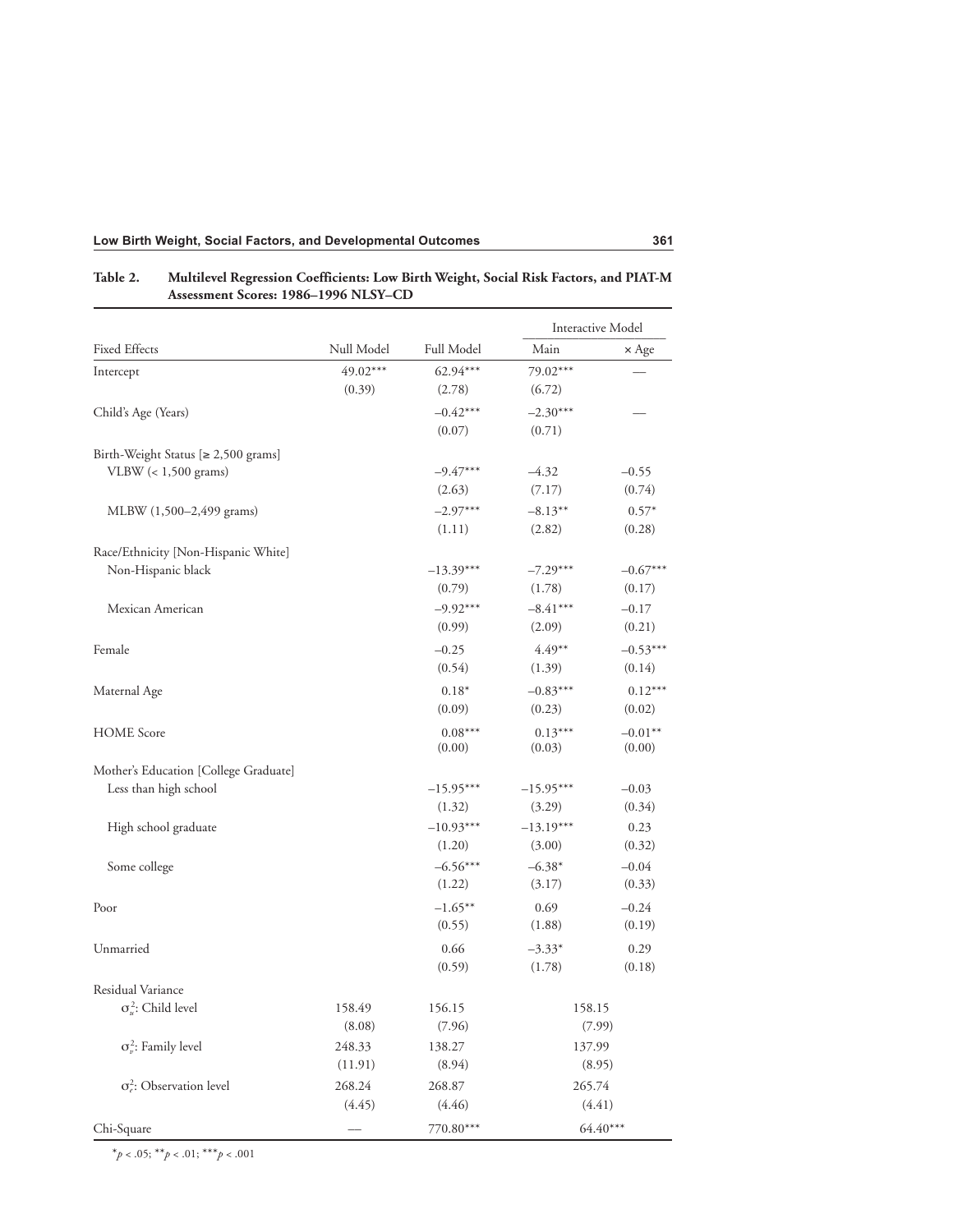| Low Birth Weight, Social Factors, and Developmental Outcomes | 361 |
|--------------------------------------------------------------|-----|
|--------------------------------------------------------------|-----|

|                                       |            |             | Interactive Model |              |  |
|---------------------------------------|------------|-------------|-------------------|--------------|--|
| Fixed Effects                         | Null Model | Full Model  | Main              | $\times$ Age |  |
| Intercept                             | 49.02***   | 62.94***    | 79.02***          |              |  |
|                                       | (0.39)     | (2.78)      | (6.72)            |              |  |
| Child's Age (Years)                   |            | $-0.42***$  | $-2.30***$        |              |  |
|                                       |            | (0.07)      | (0.71)            |              |  |
| Birth-Weight Status [≥ 2,500 grams]   |            |             |                   |              |  |
| VLBW (< 1,500 grams)                  |            | $-9.47***$  | $-4.32$           | $-0.55$      |  |
|                                       |            | (2.63)      | (7.17)            | (0.74)       |  |
| MLBW (1,500-2,499 grams)              |            | $-2.97***$  | $-8.13**$         | $0.57*$      |  |
|                                       |            | (1.11)      | (2.82)            | (0.28)       |  |
| Race/Ethnicity [Non-Hispanic White]   |            |             |                   |              |  |
| Non-Hispanic black                    |            | $-13.39***$ | $-7.29***$        | $-0.67***$   |  |
|                                       |            | (0.79)      | (1.78)            | (0.17)       |  |
| Mexican American                      |            | $-9.92***$  | $-8.41***$        | $-0.17$      |  |
|                                       |            | (0.99)      | (2.09)            | (0.21)       |  |
| Female                                |            | $-0.25$     | $4.49**$          | $-0.53***$   |  |
|                                       |            | (0.54)      | (1.39)            | (0.14)       |  |
| Maternal Age                          |            | $0.18*$     | $-0.83***$        | $0.12***$    |  |
|                                       |            | (0.09)      | (0.23)            | (0.02)       |  |
| <b>HOME</b> Score                     |            | $0.08***$   | $0.13***$         | $-0.01**$    |  |
|                                       |            | (0.00)      | (0.03)            | (0.00)       |  |
| Mother's Education [College Graduate] |            |             |                   |              |  |
| Less than high school                 |            | $-15.95***$ | $-15.95***$       | $-0.03$      |  |
|                                       |            | (1.32)      | (3.29)            | (0.34)       |  |
| High school graduate                  |            | $-10.93***$ | $-13.19***$       | 0.23         |  |
|                                       |            | (1.20)      | (3.00)            | (0.32)       |  |
| Some college                          |            | $-6.56***$  | $-6.38*$          | $-0.04$      |  |
|                                       |            | (1.22)      | (3.17)            | (0.33)       |  |
| Poor                                  |            | $-1.65***$  | 0.69              | $-0.24$      |  |
|                                       |            | (0.55)      | (1.88)            | (0.19)       |  |
| Unmarried                             |            | 0.66        | $-3.33*$          | 0.29         |  |
|                                       |            | (0.59)      | (1.78)            | (0.18)       |  |
| Residual Variance                     |            |             |                   |              |  |
| $\sigma_v^2$ : Child level            | 158.49     | 156.15      | 158.15            |              |  |
|                                       | (8.08)     | (7.96)      |                   | (7.99)       |  |
| $\sigma_v^2$ : Family level           | 248.33     | 138.27      | 137.99            |              |  |
|                                       | (11.91)    | (8.94)      | (8.95)            |              |  |
| $\sigma^2$ : Observation level        | 268.24     | 268.87      | 265.74            |              |  |
|                                       | (4.45)     | (4.46)      |                   | (4.41)       |  |
| Chi-Square                            |            | 770.80***   | 64.40***          |              |  |

**Table 2. Multilevel Regression Coefficients: Low Birth Weight, Social Risk Factors, and PIAT-M Assessment Scores: 1986–1996 NLSY–CD**

 $*_{p}$  < .05;  $*_{p}$  < .01;  $*_{p}$  < .001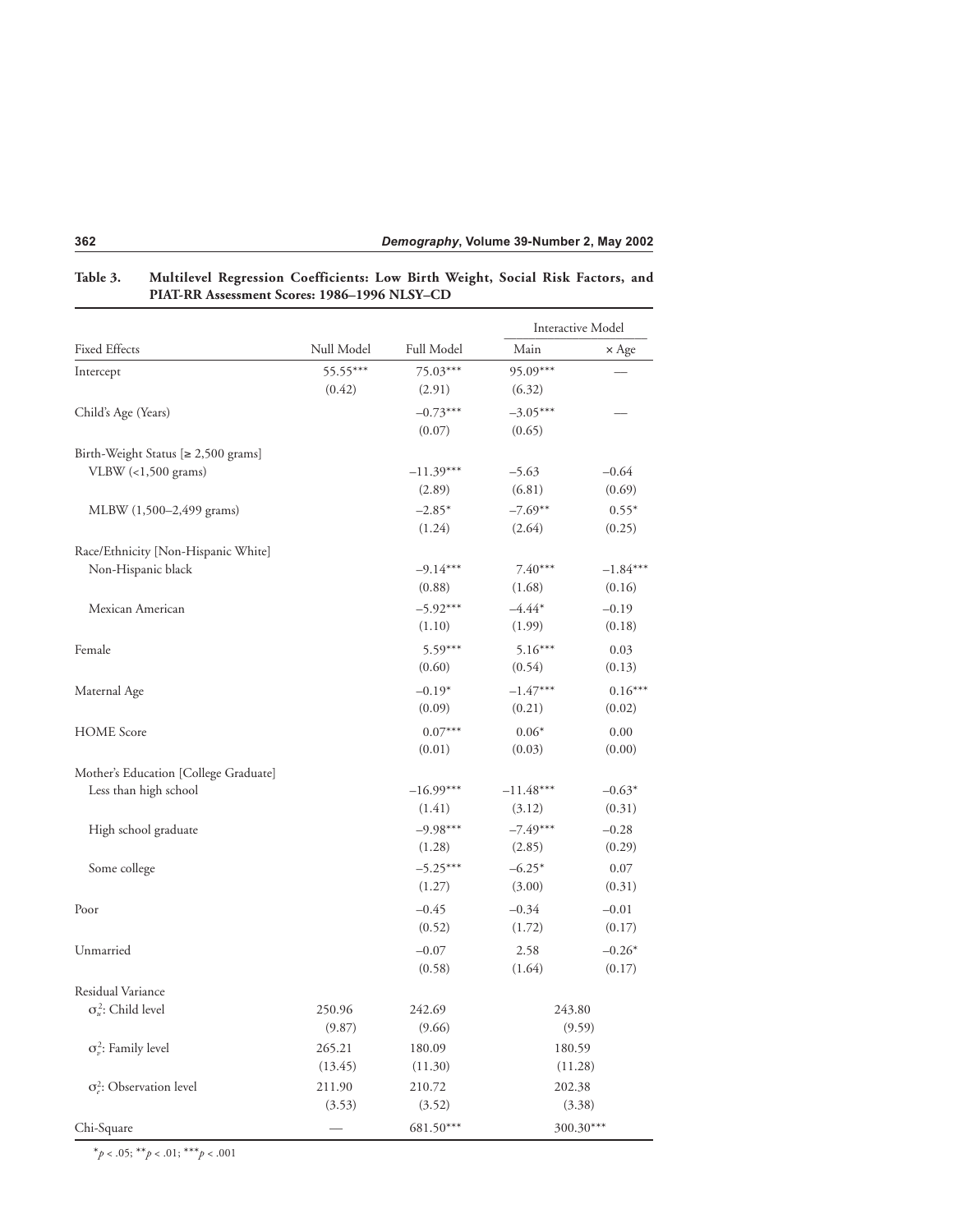# **Table 3. Multilevel Regression Coefficients: Low Birth Weight, Social Risk Factors, and PIAT-RR Assessment Scores: 1986–1996 NLSY–CD**

|                                       |            |             |                   | Interactive Model |  |
|---------------------------------------|------------|-------------|-------------------|-------------------|--|
| <b>Fixed Effects</b>                  | Null Model | Full Model  | Main              | $\times$ Age      |  |
| Intercept                             | 55.55***   | 75.03***    | 95.09***          |                   |  |
|                                       | (0.42)     | (2.91)      | (6.32)            |                   |  |
| Child's Age (Years)                   |            | $-0.73***$  | $-3.05***$        |                   |  |
|                                       |            | (0.07)      | (0.65)            |                   |  |
| Birth-Weight Status [≥ 2,500 grams]   |            |             |                   |                   |  |
| VLBW (<1,500 grams)                   |            | $-11.39***$ | $-5.63$           | $-0.64$           |  |
|                                       |            | (2.89)      | (6.81)            | (0.69)            |  |
| MLBW (1,500-2,499 grams)              |            | $-2.85*$    | $-7.69**$         | $0.55*$           |  |
|                                       |            | (1.24)      | (2.64)            | (0.25)            |  |
| Race/Ethnicity [Non-Hispanic White]   |            |             |                   |                   |  |
| Non-Hispanic black                    |            | $-9.14***$  | $7.40***$         | $-1.84***$        |  |
|                                       |            | (0.88)      | (1.68)            | (0.16)            |  |
| Mexican American                      |            | $-5.92***$  | $-4.44*$          | $-0.19$           |  |
|                                       |            | (1.10)      | (1.99)            | (0.18)            |  |
| Female                                |            | $5.59***$   | $5.16***$         | 0.03              |  |
|                                       |            | (0.60)      | (0.54)            | (0.13)            |  |
| Maternal Age                          |            | $-0.19*$    | $-1.47***$        | $0.16***$         |  |
|                                       |            | (0.09)      | (0.21)            | (0.02)            |  |
| <b>HOME</b> Score                     |            | $0.07***$   | $0.06*$           | 0.00              |  |
|                                       |            | (0.01)      | (0.03)            | (0.00)            |  |
| Mother's Education [College Graduate] |            |             |                   |                   |  |
| Less than high school                 |            | $-16.99***$ | $-11.48***$       | $-0.63*$          |  |
|                                       |            | (1.41)      | (3.12)            | (0.31)            |  |
| High school graduate                  |            | $-9.98***$  | $-7.49***$        | $-0.28$           |  |
|                                       |            | (1.28)      | (2.85)            | (0.29)            |  |
| Some college                          |            | $-5.25***$  | $-6.25*$          | 0.07              |  |
|                                       |            | (1.27)      | (3.00)            | (0.31)            |  |
| Poor                                  |            | $-0.45$     | $-0.34$           | $-0.01$           |  |
|                                       |            | (0.52)      | (1.72)            | (0.17)            |  |
| Unmarried                             |            | $-0.07$     | 2.58              | $-0.26*$          |  |
|                                       |            | (0.58)      | (1.64)            | (0.17)            |  |
| Residual Variance                     |            |             |                   |                   |  |
| $\sigma_u^2$ : Child level            | 250.96     | 242.69      | 243.80            |                   |  |
|                                       | (9.87)     | (9.66)      | (9.59)            |                   |  |
| $\sigma_v^2$ : Family level           | 265.21     | 180.09      | 180.59<br>(11.28) |                   |  |
|                                       | (13.45)    | (11.30)     |                   |                   |  |
| $\sigma^2$ : Observation level        | 211.90     | 210.72      | 202.38            |                   |  |
|                                       | (3.53)     | (3.52)      |                   | (3.38)            |  |
| Chi-Square                            |            | 681.50***   | 300.30***         |                   |  |

 $^{\ast}p < .05; ^{\ast\ast p} < .01; ^{\ast\ast\ast p} < .001$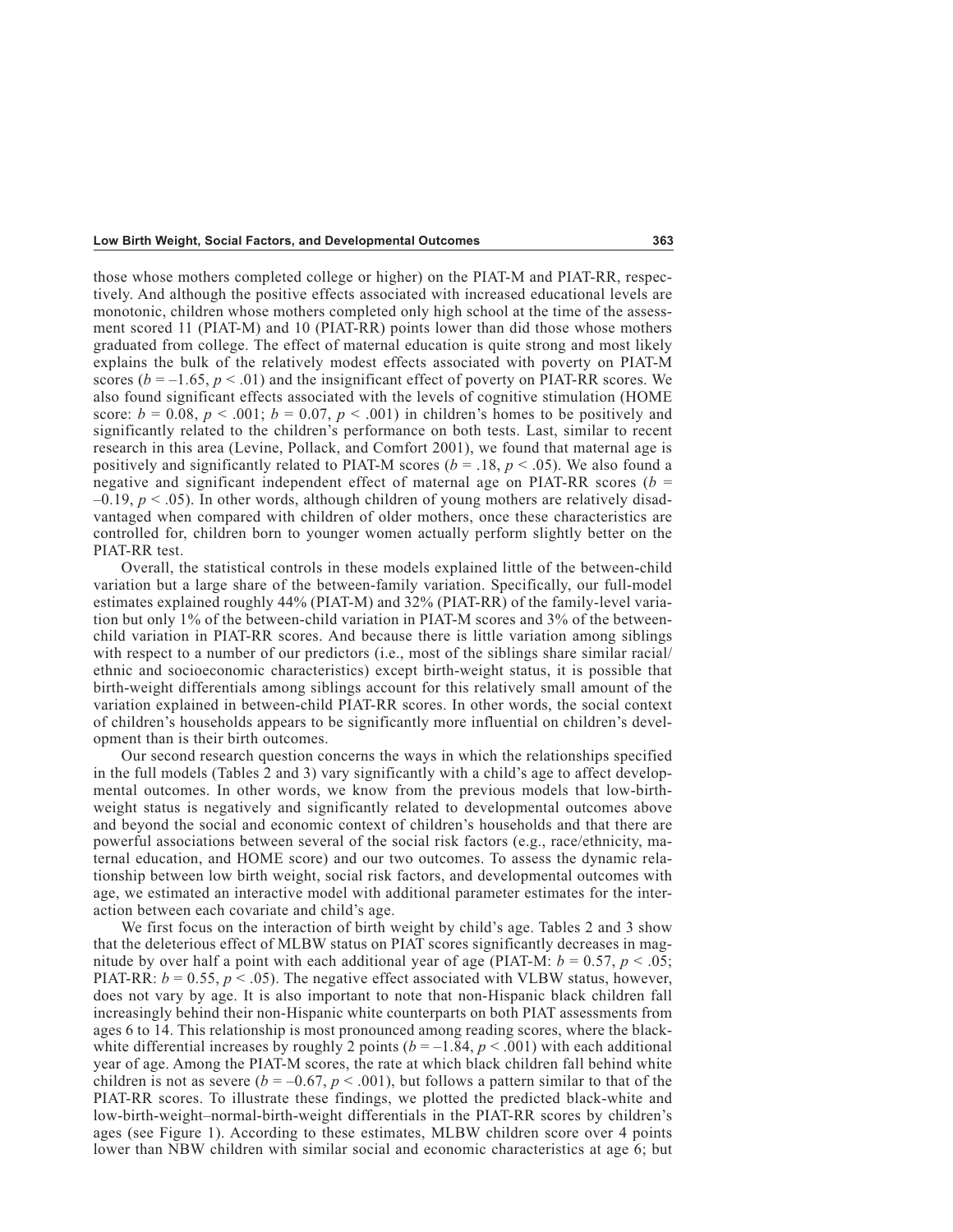those whose mothers completed college or higher) on the PIAT-M and PIAT-RR, respectively. And although the positive effects associated with increased educational levels are monotonic, children whose mothers completed only high school at the time of the assessment scored 11 (PIAT-M) and 10 (PIAT-RR) points lower than did those whose mothers graduated from college. The effect of maternal education is quite strong and most likely explains the bulk of the relatively modest effects associated with poverty on PIAT-M scores ( $b = -1.65$ ,  $p < .01$ ) and the insignificant effect of poverty on PIAT-RR scores. We also found significant effects associated with the levels of cognitive stimulation (HOME score:  $b = 0.08$ ,  $p < .001$ ;  $b = 0.07$ ,  $p < .001$ ) in children's homes to be positively and significantly related to the children's performance on both tests. Last, similar to recent research in this area (Levine, Pollack, and Comfort 2001), we found that maternal age is positively and significantly related to PIAT-M scores ( $b = .18$ ,  $p < .05$ ). We also found a negative and significant independent effect of maternal age on PIAT-RR scores ( $b =$  $-0.19$ ,  $p < .05$ ). In other words, although children of young mothers are relatively disadvantaged when compared with children of older mothers, once these characteristics are controlled for, children born to younger women actually perform slightly better on the PIAT-RR test.

Overall, the statistical controls in these models explained little of the between-child variation but a large share of the between-family variation. Specifically, our full-model estimates explained roughly 44% (PIAT-M) and 32% (PIAT-RR) of the family-level variation but only 1% of the between-child variation in PIAT-M scores and 3% of the betweenchild variation in PIAT-RR scores. And because there is little variation among siblings with respect to a number of our predictors (i.e., most of the siblings share similar racial) ethnic and socioeconomic characteristics) except birth-weight status, it is possible that birth-weight differentials among siblings account for this relatively small amount of the variation explained in between-child PIAT-RR scores. In other words, the social context of children's households appears to be significantly more influential on children's development than is their birth outcomes.

Our second research question concerns the ways in which the relationships specified in the full models (Tables 2 and 3) vary significantly with a child's age to affect developmental outcomes. In other words, we know from the previous models that low-birthweight status is negatively and significantly related to developmental outcomes above and beyond the social and economic context of children's households and that there are powerful associations between several of the social risk factors (e.g., race/ethnicity, maternal education, and HOME score) and our two outcomes. To assess the dynamic relationship between low birth weight, social risk factors, and developmental outcomes with age, we estimated an interactive model with additional parameter estimates for the interaction between each covariate and child's age.

We first focus on the interaction of birth weight by child's age. Tables 2 and 3 show that the deleterious effect of MLBW status on PIAT scores significantly decreases in magnitude by over half a point with each additional year of age (PIAT-M:  $b = 0.57$ ,  $p < .05$ ; PIAT-RR:  $b = 0.55$ ,  $p < .05$ ). The negative effect associated with VLBW status, however, does not vary by age. It is also important to note that non-Hispanic black children fall increasingly behind their non-Hispanic white counterparts on both PIAT assessments from ages 6 to 14. This relationship is most pronounced among reading scores, where the blackwhite differential increases by roughly 2 points  $(b = -1.84, p < .001)$  with each additional year of age. Among the PIAT-M scores, the rate at which black children fall behind white children is not as severe ( $b = -0.67$ ,  $p < .001$ ), but follows a pattern similar to that of the PIAT-RR scores. To illustrate these findings, we plotted the predicted black-white and low-birth-weight–normal-birth-weight differentials in the PIAT-RR scores by children's ages (see Figure 1). According to these estimates, MLBW children score over 4 points lower than NBW children with similar social and economic characteristics at age 6; but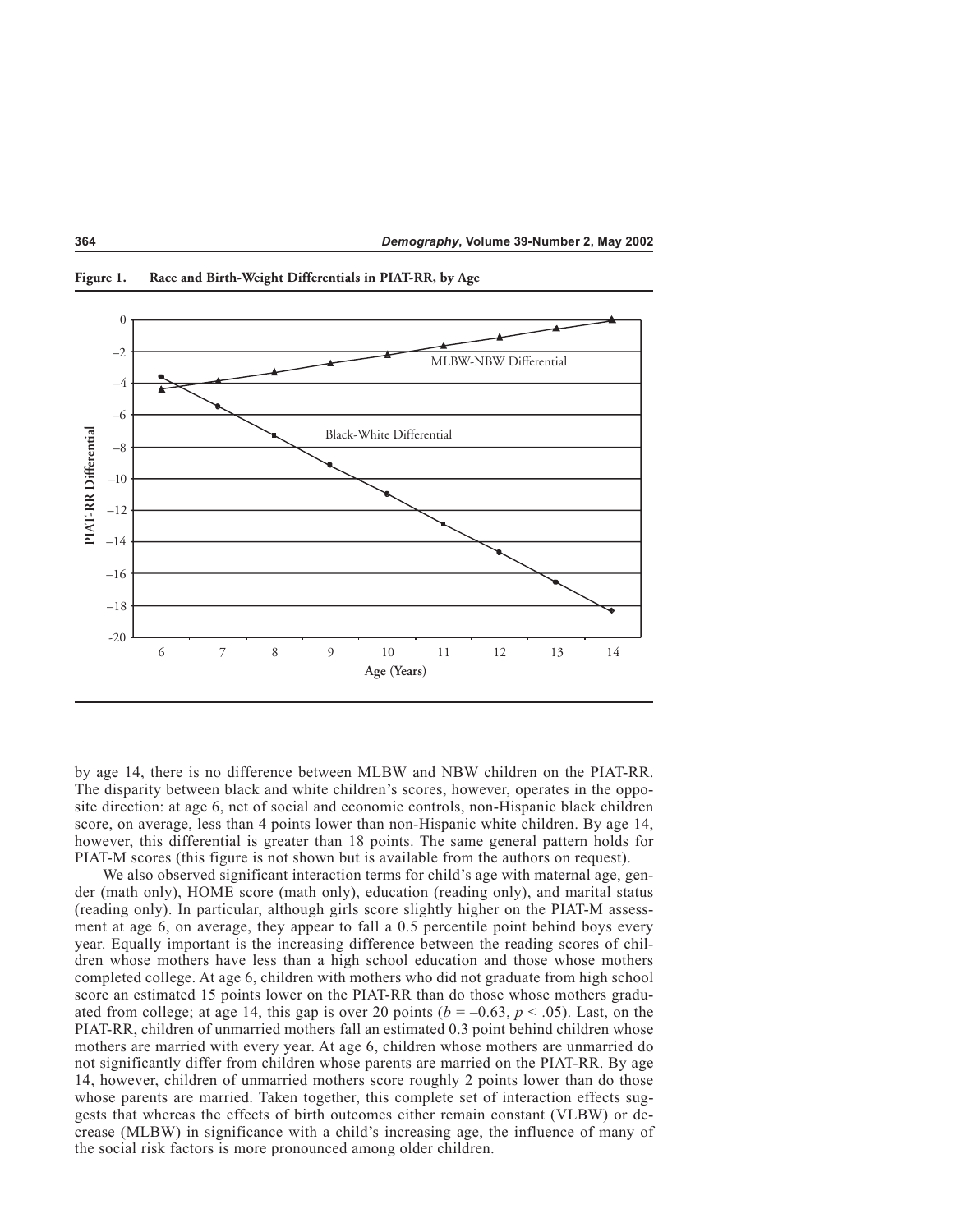

**Figure 1. Race and Birth-Weight Differentials in PIAT-RR, by Age**

by age 14, there is no difference between MLBW and NBW children on the PIAT-RR. The disparity between black and white children's scores, however, operates in the opposite direction: at age 6, net of social and economic controls, non-Hispanic black children score, on average, less than 4 points lower than non-Hispanic white children. By age 14, however, this differential is greater than 18 points. The same general pattern holds for PIAT-M scores (this figure is not shown but is available from the authors on request).

We also observed significant interaction terms for child's age with maternal age, gender (math only), HOME score (math only), education (reading only), and marital status (reading only). In particular, although girls score slightly higher on the PIAT-M assessment at age 6, on average, they appear to fall a 0.5 percentile point behind boys every year. Equally important is the increasing difference between the reading scores of children whose mothers have less than a high school education and those whose mothers completed college. At age 6, children with mothers who did not graduate from high school score an estimated 15 points lower on the PIAT-RR than do those whose mothers graduated from college; at age 14, this gap is over 20 points ( $b = -0.63$ ,  $p < .05$ ). Last, on the PIAT-RR, children of unmarried mothers fall an estimated 0.3 point behind children whose mothers are married with every year. At age 6, children whose mothers are unmarried do not significantly differ from children whose parents are married on the PIAT-RR. By age 14, however, children of unmarried mothers score roughly 2 points lower than do those whose parents are married. Taken together, this complete set of interaction effects suggests that whereas the effects of birth outcomes either remain constant (VLBW) or decrease (MLBW) in significance with a child's increasing age, the influence of many of the social risk factors is more pronounced among older children.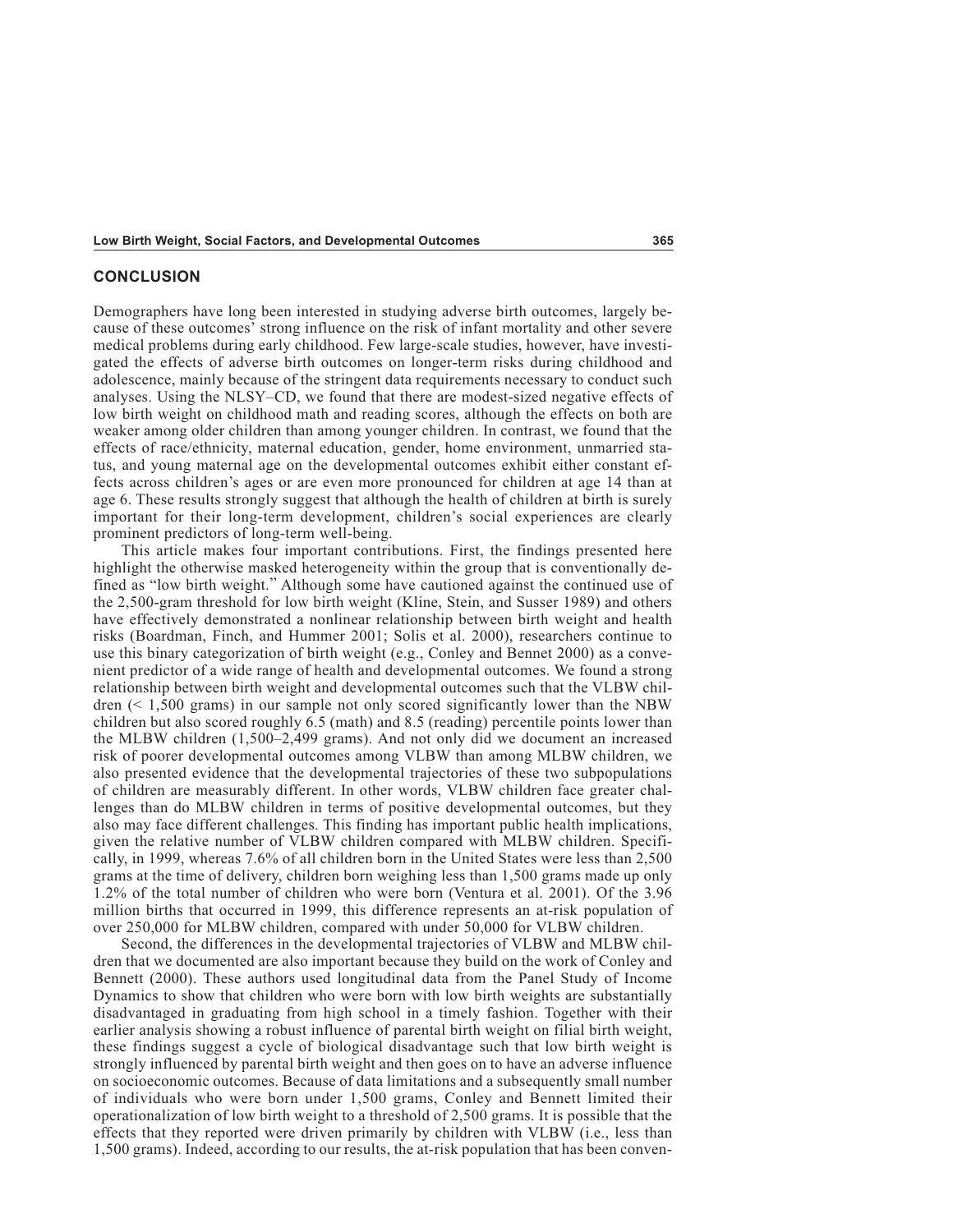# **CONCLUSION**

Demographers have long been interested in studying adverse birth outcomes, largely because of these outcomes' strong influence on the risk of infant mortality and other severe medical problems during early childhood. Few large-scale studies, however, have investigated the effects of adverse birth outcomes on longer-term risks during childhood and adolescence, mainly because of the stringent data requirements necessary to conduct such analyses. Using the NLSY–CD, we found that there are modest-sized negative effects of low birth weight on childhood math and reading scores, although the effects on both are weaker among older children than among younger children. In contrast, we found that the effects of race/ethnicity, maternal education, gender, home environment, unmarried status, and young maternal age on the developmental outcomes exhibit either constant effects across children's ages or are even more pronounced for children at age 14 than at age 6. These results strongly suggest that although the health of children at birth is surely important for their long-term development, children's social experiences are clearly prominent predictors of long-term well-being.

This article makes four important contributions. First, the findings presented here highlight the otherwise masked heterogeneity within the group that is conventionally defined as "low birth weight." Although some have cautioned against the continued use of the 2,500-gram threshold for low birth weight (Kline, Stein, and Susser 1989) and others have effectively demonstrated a nonlinear relationship between birth weight and health risks (Boardman, Finch, and Hummer 2001; Solis et al. 2000), researchers continue to use this binary categorization of birth weight (e.g., Conley and Bennet 2000) as a convenient predictor of a wide range of health and developmental outcomes. We found a strong relationship between birth weight and developmental outcomes such that the VLBW children (< 1,500 grams) in our sample not only scored significantly lower than the NBW children but also scored roughly 6.5 (math) and 8.5 (reading) percentile points lower than the MLBW children (1,500–2,499 grams). And not only did we document an increased risk of poorer developmental outcomes among VLBW than among MLBW children, we also presented evidence that the developmental trajectories of these two subpopulations of children are measurably different. In other words, VLBW children face greater challenges than do MLBW children in terms of positive developmental outcomes, but they also may face different challenges. This finding has important public health implications, given the relative number of VLBW children compared with MLBW children. Specifically, in 1999, whereas 7.6% of all children born in the United States were less than 2,500 grams at the time of delivery, children born weighing less than 1,500 grams made up only 1.2% of the total number of children who were born (Ventura et al. 2001). Of the 3.96 million births that occurred in 1999, this difference represents an at-risk population of over 250,000 for MLBW children, compared with under 50,000 for VLBW children.

Second, the differences in the developmental trajectories of VLBW and MLBW children that we documented are also important because they build on the work of Conley and Bennett (2000). These authors used longitudinal data from the Panel Study of Income Dynamics to show that children who were born with low birth weights are substantially disadvantaged in graduating from high school in a timely fashion. Together with their earlier analysis showing a robust influence of parental birth weight on filial birth weight, these findings suggest a cycle of biological disadvantage such that low birth weight is strongly influenced by parental birth weight and then goes on to have an adverse influence on socioeconomic outcomes. Because of data limitations and a subsequently small number of individuals who were born under 1,500 grams, Conley and Bennett limited their operationalization of low birth weight to a threshold of 2,500 grams. It is possible that the effects that they reported were driven primarily by children with VLBW (i.e., less than 1,500 grams). Indeed, according to our results, the at-risk population that has been conven-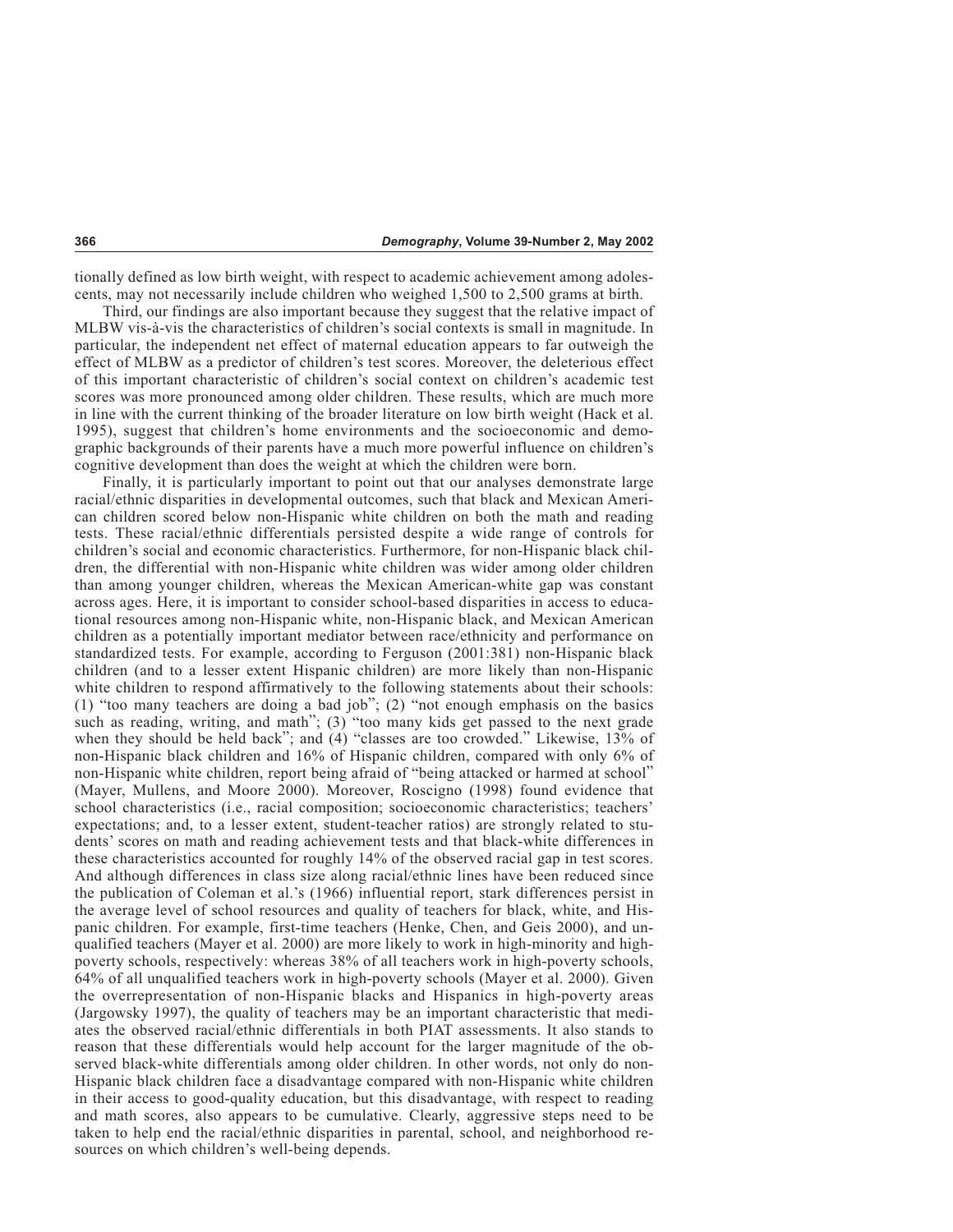tionally defined as low birth weight, with respect to academic achievement among adolescents, may not necessarily include children who weighed 1,500 to 2,500 grams at birth.

Third, our findings are also important because they suggest that the relative impact of MLBW vis-à-vis the characteristics of children's social contexts is small in magnitude. In particular, the independent net effect of maternal education appears to far outweigh the effect of MLBW as a predictor of children's test scores. Moreover, the deleterious effect of this important characteristic of children's social context on children's academic test scores was more pronounced among older children. These results, which are much more in line with the current thinking of the broader literature on low birth weight (Hack et al. 1995), suggest that children's home environments and the socioeconomic and demographic backgrounds of their parents have a much more powerful influence on children's cognitive development than does the weight at which the children were born.

Finally, it is particularly important to point out that our analyses demonstrate large racial/ethnic disparities in developmental outcomes, such that black and Mexican American children scored below non-Hispanic white children on both the math and reading tests. These racial/ethnic differentials persisted despite a wide range of controls for children's social and economic characteristics. Furthermore, for non-Hispanic black children, the differential with non-Hispanic white children was wider among older children than among younger children, whereas the Mexican American-white gap was constant across ages. Here, it is important to consider school-based disparities in access to educational resources among non-Hispanic white, non-Hispanic black, and Mexican American children as a potentially important mediator between race/ethnicity and performance on standardized tests. For example, according to Ferguson (2001:381) non-Hispanic black children (and to a lesser extent Hispanic children) are more likely than non-Hispanic white children to respond affirmatively to the following statements about their schools: (1) "too many teachers are doing a bad job"; (2) "not enough emphasis on the basics such as reading, writing, and math"; (3) "too many kids get passed to the next grade when they should be held back"; and (4) "classes are too crowded." Likewise, 13% of non-Hispanic black children and 16% of Hispanic children, compared with only 6% of non-Hispanic white children, report being afraid of "being attacked or harmed at school" (Mayer, Mullens, and Moore 2000). Moreover, Roscigno (1998) found evidence that school characteristics (i.e., racial composition; socioeconomic characteristics; teachers' expectations; and, to a lesser extent, student-teacher ratios) are strongly related to students' scores on math and reading achievement tests and that black-white differences in these characteristics accounted for roughly 14% of the observed racial gap in test scores. And although differences in class size along racial/ethnic lines have been reduced since the publication of Coleman et al.'s (1966) influential report, stark differences persist in the average level of school resources and quality of teachers for black, white, and Hispanic children. For example, first-time teachers (Henke, Chen, and Geis 2000), and unqualified teachers (Mayer et al. 2000) are more likely to work in high-minority and highpoverty schools, respectively: whereas 38% of all teachers work in high-poverty schools, 64% of all unqualified teachers work in high-poverty schools (Mayer et al. 2000). Given the overrepresentation of non-Hispanic blacks and Hispanics in high-poverty areas (Jargowsky 1997), the quality of teachers may be an important characteristic that mediates the observed racial/ethnic differentials in both PIAT assessments. It also stands to reason that these differentials would help account for the larger magnitude of the observed black-white differentials among older children. In other words, not only do non-Hispanic black children face a disadvantage compared with non-Hispanic white children in their access to good-quality education, but this disadvantage, with respect to reading and math scores, also appears to be cumulative. Clearly, aggressive steps need to be taken to help end the racial/ethnic disparities in parental, school, and neighborhood resources on which children's well-being depends.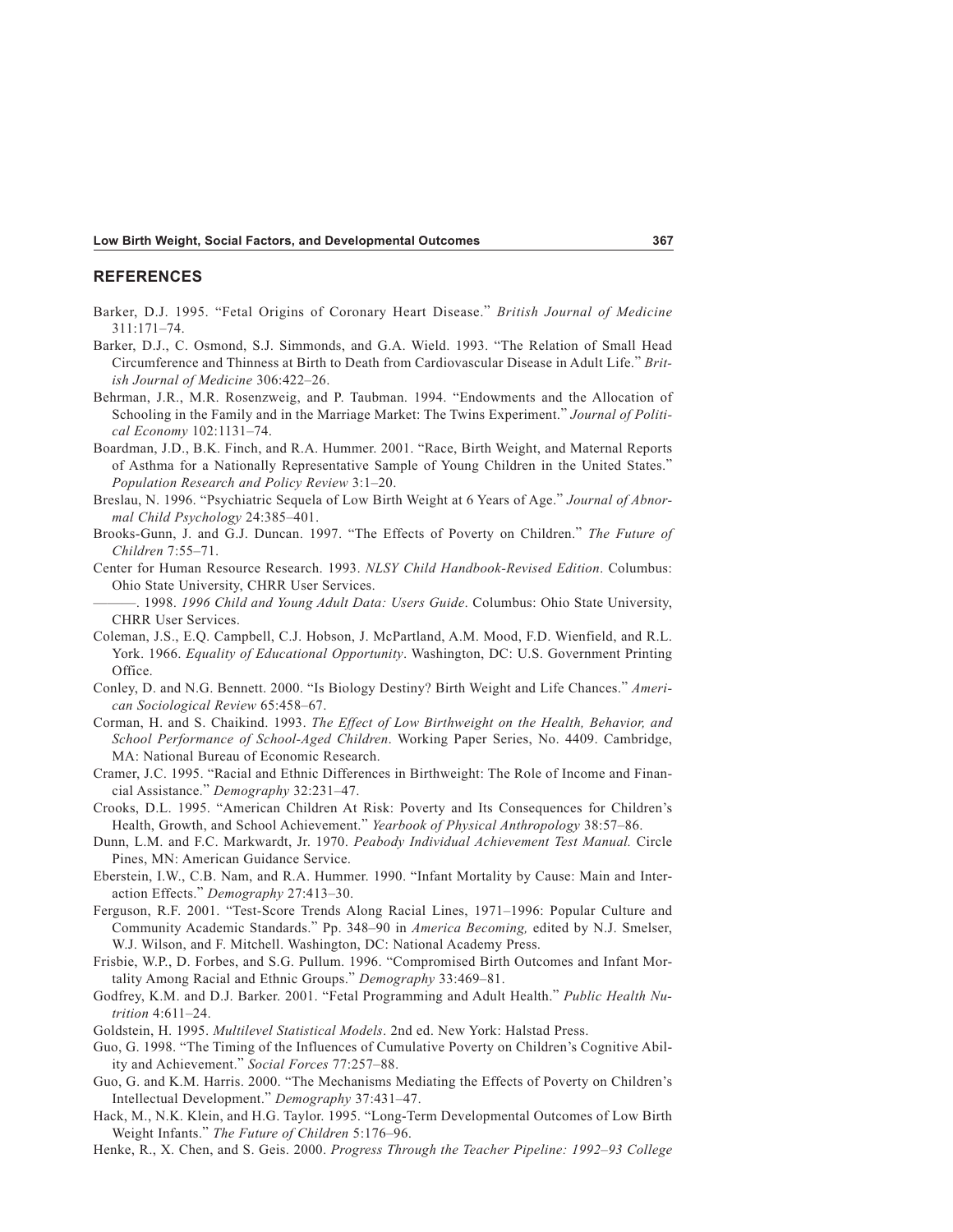# **REFERENCES**

- Barker, D.J. 1995. "Fetal Origins of Coronary Heart Disease." *British Journal of Medicine* 311:171–74.
- Barker, D.J., C. Osmond, S.J. Simmonds, and G.A. Wield. 1993. "The Relation of Small Head Circumference and Thinness at Birth to Death from Cardiovascular Disease in Adult Life." *British Journal of Medicine* 306:422–26.
- Behrman, J.R., M.R. Rosenzweig, and P. Taubman. 1994. "Endowments and the Allocation of Schooling in the Family and in the Marriage Market: The Twins Experiment." *Journal of Political Economy* 102:1131–74.
- Boardman, J.D., B.K. Finch, and R.A. Hummer. 2001. "Race, Birth Weight, and Maternal Reports of Asthma for a Nationally Representative Sample of Young Children in the United States." *Population Research and Policy Review* 3:1–20.
- Breslau, N. 1996. "Psychiatric Sequela of Low Birth Weight at 6 Years of Age." *Journal of Abnormal Child Psychology* 24:385–401.
- Brooks-Gunn, J. and G.J. Duncan. 1997. "The Effects of Poverty on Children." *The Future of Children* 7:55–71.
- Center for Human Resource Research. 1993. *NLSY Child Handbook-Revised Edition*. Columbus: Ohio State University, CHRR User Services.
- ———. 1998. *1996 Child and Young Adult Data: Users Guide*. Columbus: Ohio State University, CHRR User Services.
- Coleman, J.S., E.Q. Campbell, C.J. Hobson, J. McPartland, A.M. Mood, F.D. Wienfield, and R.L. York. 1966. *Equality of Educational Opportunity*. Washington, DC: U.S. Government Printing Office.
- Conley, D. and N.G. Bennett. 2000. "Is Biology Destiny? Birth Weight and Life Chances." *American Sociological Review* 65:458–67.
- Corman, H. and S. Chaikind. 1993. *The Effect of Low Birthweight on the Health, Behavior, and School Performance of School-Aged Children*. Working Paper Series, No. 4409. Cambridge, MA: National Bureau of Economic Research.
- Cramer, J.C. 1995. "Racial and Ethnic Differences in Birthweight: The Role of Income and Financial Assistance." *Demography* 32:231–47.
- Crooks, D.L. 1995. "American Children At Risk: Poverty and Its Consequences for Children's Health, Growth, and School Achievement." *Yearbook of Physical Anthropology* 38:57–86.
- Dunn, L.M. and F.C. Markwardt, Jr. 1970. *Peabody Individual Achievement Test Manual.* Circle Pines, MN: American Guidance Service.
- Eberstein, I.W., C.B. Nam, and R.A. Hummer. 1990. "Infant Mortality by Cause: Main and Interaction Effects." *Demography* 27:413–30.
- Ferguson, R.F. 2001. "Test-Score Trends Along Racial Lines, 1971–1996: Popular Culture and Community Academic Standards." Pp. 348–90 in *America Becoming,* edited by N.J. Smelser, W.J. Wilson, and F. Mitchell. Washington, DC: National Academy Press.
- Frisbie, W.P., D. Forbes, and S.G. Pullum. 1996. "Compromised Birth Outcomes and Infant Mortality Among Racial and Ethnic Groups." *Demography* 33:469–81.
- Godfrey, K.M. and D.J. Barker. 2001. "Fetal Programming and Adult Health." *Public Health Nutrition* 4:611–24.
- Goldstein, H. 1995. *Multilevel Statistical Models*. 2nd ed. New York: Halstad Press.
- Guo, G. 1998. "The Timing of the Influences of Cumulative Poverty on Children's Cognitive Ability and Achievement." *Social Forces* 77:257–88.
- Guo, G. and K.M. Harris. 2000. "The Mechanisms Mediating the Effects of Poverty on Children's Intellectual Development." *Demography* 37:431–47.
- Hack, M., N.K. Klein, and H.G. Taylor. 1995. "Long-Term Developmental Outcomes of Low Birth Weight Infants." *The Future of Children* 5:176–96.
- Henke, R., X. Chen, and S. Geis. 2000. *Progress Through the Teacher Pipeline: 1992–93 College*